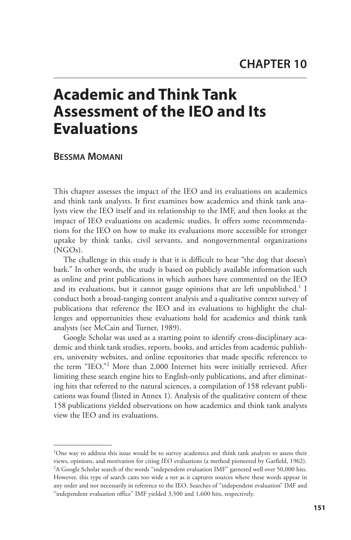# **Academic and Think Tank Assessment of the IEO and Its Evaluations**

 **BESSMA MOMANI**

 This chapter assesses the impact of the IEO and its evaluations on academics and think tank analysts. It first examines how academics and think tank analysts view the IEO itself and its relationship to the IMF, and then looks at the impact of IEO evaluations on academic studies. It offers some recommendations for the IEO on how to make its evaluations more accessible for stronger uptake by think tanks, civil servants, and nongovernmental organizations (NGOs).

 The challenge in this study is that it is difficult to hear "the dog that doesn't bark." In other words, the study is based on publicly available information such as online and print publications in which authors have commented on the IEO and its evaluations, but it cannot gauge opinions that are left unpublished.<sup>1</sup> I conduct both a broad-ranging content analysis and a qualitative context survey of publications that reference the IEO and its evaluations to highlight the challenges and opportunities these evaluations hold for academics and think tank analysts (see McCain and Turner, 1989).

 Google Scholar was used as a starting point to identify cross-disciplinary academic and think tank studies, reports, books, and articles from academic publishers, university websites, and online repositories that made specific references to the term "IEO."<sup>2</sup> More than 2,000 Internet hits were initially retrieved. After limiting these search engine hits to English-only publications, and after eliminating hits that referred to the natural sciences, a compilation of 158 relevant publications was found (listed in Annex 1). Analysis of the qualitative content of these 158 publications yielded observations on how academics and think tank analysts view the IEO and its evaluations.

<sup>&</sup>lt;sup>1</sup>One way to address this issue would be to survey academics and think tank analysts to assess their views, opinions, and motivation for citing IEO evaluations (a method pioneered by Garfield, 1962).  $2A$  Google Scholar search of the words "independent evaluation IMF" garnered well over 50,000 hits. However, this type of search casts too wide a net as it captures sources where these words appear in any order and not necessarily in reference to the IEO. Searches of "independent evaluation" IMF and "independent evaluation office" IMF yielded 3,500 and 1,600 hits, respectively.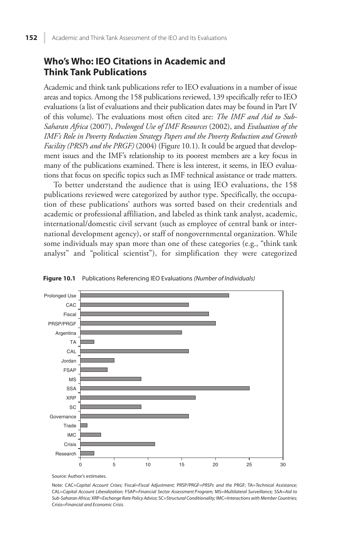# **Who's Who: IEO Citations in Academic and Think Tank Publications**

 Academic and think tank publications refer to IEO evaluations in a number of issue areas and topics. Among the 158 publications reviewed, 139 specifically refer to IEO evaluations (a list of evaluations and their publication dates may be found in Part IV of this volume). The evaluations most often cited are: *The IMF and Aid to Sub-Saharan Africa* (2007), *Prolonged Use of IMF Resources* (2002), and *Evaluation of the IMF's Role in Poverty Reduction Strategy Papers and the Poverty Reduction and Growth Facility (PRSPs and the PRGF)* (2004) (Figure 10.1). It could be argued that development issues and the IMF's relationship to its poorest members are a key focus in many of the publications examined. There is less interest, it seems, in IEO evaluations that focus on specific topics such as IMF technical assistance or trade matters.

 To better understand the audience that is using IEO evaluations, the 158 publications reviewed were categorized by author type. Specifically, the occupation of these publications' authors was sorted based on their credentials and academic or professional affiliation, and labeled as think tank analyst, academic, international/domestic civil servant (such as employee of central bank or international development agency), or staff of nongovernmental organization. While some individuals may span more than one of these categories (e.g., "think tank analyst" and "political scientist"), for simplification they were categorized



**Figure 10.1** Publications Referencing IEO Evaluations (Number of Individuals)

Source: Author's estimates.

Note: CAC=Capital Account Crises; Fiscal=Fiscal Adjustment; PRSP/PRGF=PRSPs and the PRGF; TA=Technical Assistance; CAL=Capital Account Liberalization; FSAP=Financial Sector Assessment P rogram; MS=Multilateral Surveillance; SSA=Aid to Sub-Saharan Africa; XRP=Exchange Rate Policy Advice; SC=Structural Conditionality; IMC=Interactions with Member Countries; Crisis=Financial and Economic Crisis.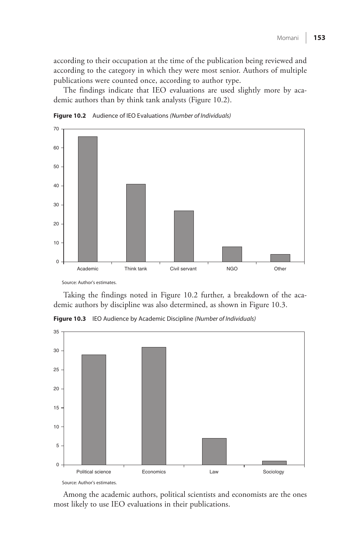according to their occupation at the time of the publication being reviewed and according to the category in which they were most senior. Authors of multiple publications were counted once, according to author type.

 The findings indicate that IEO evaluations are used slightly more by academic authors than by think tank analysts (Figure 10.2).





Source: Author's estimates.

 Taking the findings noted in Figure 10.2 further, a breakdown of the academic authors by discipline was also determined, as shown in Figure 10.3.



**Figure 10.3** IEO Audience by Academic Discipline (Number of Individuals)

Source: Author's estimates.

 Among the academic authors, political scientists and economists are the ones most likely to use IEO evaluations in their publications.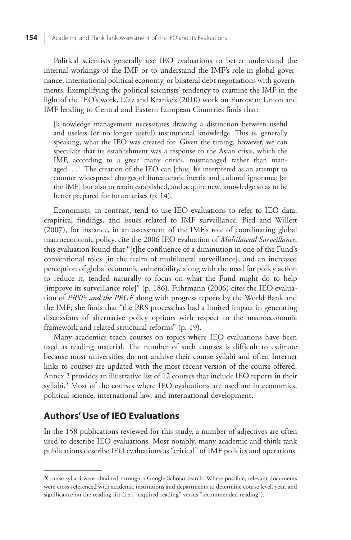Political scientists generally use IEO evaluations to better understand the internal workings of the IMF or to understand the IMF's role in global governance, international political economy, or bilateral debt negotiations with governments. Exemplifying the political scientists' tendency to examine the IMF in the light of the IEO's work, Lütz and Kranke's (2010) work on European Union and IMF lending to Central and Eastern European Countries finds that:

 [k]nowledge management necessitates drawing a distinction between useful and useless (or no longer useful) institutional knowledge. This is, generally speaking, what the IEO was created for. Given the timing, however, we can speculate that its establishment was a response to the Asian crisis, which the IMF, according to a great many critics, mismanaged rather than managed. . . . The creation of the IEO can [thus] be interpreted as an attempt to counter widespread charges of bureaucratic inertia and cultural ignorance [at the IMF] but also to retain established, and acquire new, knowledge so as to be better prepared for future crises (p. 14).

 Economists, in contrast, tend to use IEO evaluations to refer to IEO data, empirical findings, and issues related to IMF surveillance. Bird and Willett (2007), for instance, in an assessment of the IMF's role of coordinating global macroeconomic policy, cite the 2006 IEO evaluation of *Multilateral Surveillance*; this evaluation found that "[t]he confluence of a diminution in one of the Fund's conventional roles [in the realm of multilateral surveillance], and an increased perception of global economic vulnerability, along with the need for policy action to reduce it, tended naturally to focus on what the Fund might do to help [improve its surveillance role]" (p. 186). Führmann (2006) cites the IEO evaluation of *PRSPs and the PRGF* along with progress reports by the World Bank and the IMF; she finds that "the PRS process has had a limited impact in generating discussions of alternative policy options with respect to the macroeconomic framework and related structural reforms" (p. 19).

 Many academics teach courses on topics where IEO evaluations have been used as reading material. The number of such courses is difficult to estimate because most universities do not archive their course syllabi and often Internet links to courses are updated with the most recent version of the course offered. Annex 2 provides an illustrative list of 12 courses that include IEO reports in their syllabi.<sup>3</sup> Most of the courses where IEO evaluations are used are in economics, political science, international law, and international development.

# **Authors' Use of IEO Evaluations**

 In the 158 publications reviewed for this study, a number of adjectives are often used to describe IEO evaluations. Most notably, many academic and think tank publications describe IEO evaluations as "critical" of IMF policies and operations.

<sup>&</sup>lt;sup>3</sup>Course syllabi were obtained through a Google Scholar search. Where possible, relevant documents were cross-referenced with academic institutions and departments to determine course level, year, and significance on the reading list (i.e., "required reading" versus "recommended reading").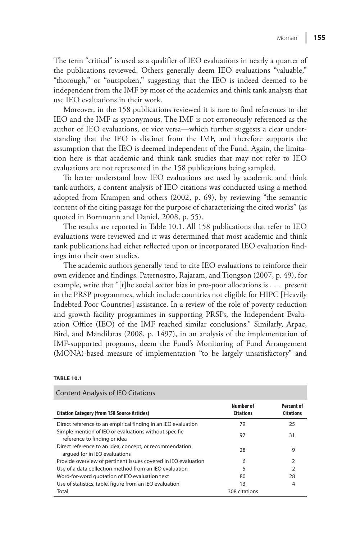The term "critical" is used as a qualifier of IEO evaluations in nearly a quarter of the publications reviewed. Others generally deem IEO evaluations "valuable," "thorough," or "outspoken," suggesting that the IEO is indeed deemed to be independent from the IMF by most of the academics and think tank analysts that use IEO evaluations in their work.

 Moreover, in the 158 publications reviewed it is rare to find references to the IEO and the IMF as synonymous. The IMF is not erroneously referenced as the author of IEO evaluations, or vice versa—which further suggests a clear understanding that the IEO is distinct from the IMF, and therefore supports the assumption that the IEO is deemed independent of the Fund. Again, the limitation here is that academic and think tank studies that may not refer to IEO evaluations are not represented in the 158 publications being sampled.

 To better understand how IEO evaluations are used by academic and think tank authors, a content analysis of IEO citations was conducted using a method adopted from Krampen and others (2002, p. 69), by reviewing "the semantic content of the citing passage for the purpose of characterizing the cited works" (as quoted in Bornmann and Daniel, 2008, p. 55).

 The results are reported in Table 10.1. All 158 publications that refer to IEO evaluations were reviewed and it was determined that most academic and think tank publications had either reflected upon or incorporated IEO evaluation findings into their own studies.

 The academic authors generally tend to cite IEO evaluations to reinforce their own evidence and findings. Paternostro, Rajaram, and Tiongson (2007, p. 49), for example, write that "[t]he social sector bias in pro-poor allocations is . . . present in the PRSP programmes, which include countries not eligible for HIPC [Heavily Indebted Poor Countries] assistance. In a review of the role of poverty reduction and growth facility programmes in supporting PRSPs, the Independent Evaluation Office (IEO) of the IMF reached similar conclusions." Similarly, Arpac, Bird, and Mandilaras (2008, p. 1497), in an analysis of the implementation of IMF-supported programs, deem the Fund's Monitoring of Fund Arrangement (MONA)-based measure of implementation "to be largely unsatisfactory" and

| Content Analysis of IEO Citations                                                        |                               |                                |
|------------------------------------------------------------------------------------------|-------------------------------|--------------------------------|
| <b>Citation Category (from 158 Source Articles)</b>                                      | Number of<br><b>Citations</b> | Percent of<br><b>Citations</b> |
| Direct reference to an empirical finding in an IEO evaluation                            | 79                            | 25                             |
| Simple mention of IEO or evaluations without specific<br>reference to finding or idea    | 97                            | 31                             |
| Direct reference to an idea, concept, or recommendation<br>arqued for in IEO evaluations | 28                            | 9                              |
| Provide overview of pertinent issues covered in IEO evaluation                           | 6                             | $\overline{2}$                 |
| Use of a data collection method from an IEO evaluation                                   | 5                             | 2                              |
| Word-for-word quotation of IEO evaluation text                                           | 80                            | 28                             |
| Use of statistics, table, figure from an IEO evaluation                                  | 13                            | 4                              |
| Total                                                                                    | 308 citations                 |                                |

#### **TABLE 10.1**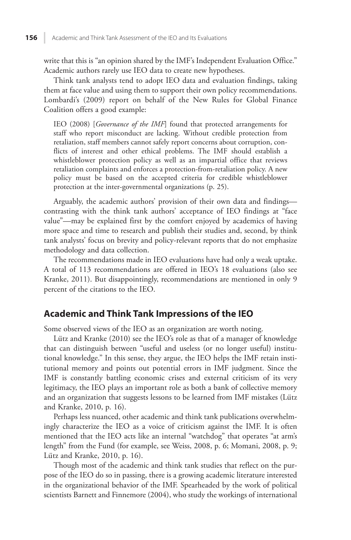write that this is "an opinion shared by the IMF's Independent Evaluation Office." Academic authors rarely use IEO data to create new hypotheses.

 Think tank analysts tend to adopt IEO data and evaluation findings, taking them at face value and using them to support their own policy recommendations. Lombardi's (2009) report on behalf of the New Rules for Global Finance Coalition offers a good example:

IEO (2008) [*Governance of the IMF*] found that protected arrangements for staff who report misconduct are lacking. Without credible protection from retaliation, staff members cannot safely report concerns about corruption, conflicts of interest and other ethical problems. The IMF should establish a whistleblower protection policy as well as an impartial office that reviews retaliation complaints and enforces a protection-from-retaliation policy. A new policy must be based on the accepted criteria for credible whistleblower protection at the inter-governmental organizations (p. 25).

 Arguably, the academic authors' provision of their own data and findings contrasting with the think tank authors' acceptance of IEO findings at "face value"—may be explained first by the comfort enjoyed by academics of having more space and time to research and publish their studies and, second, by think tank analysts' focus on brevity and policy-relevant reports that do not emphasize methodology and data collection.

 The recommendations made in IEO evaluations have had only a weak uptake. A total of 113 recommendations are offered in IEO's 18 evaluations (also see Kranke, 2011). But disappointingly, recommendations are mentioned in only 9 percent of the citations to the IEO.

#### **Academic and Think Tank Impressions of the IEO**

Some observed views of the IEO as an organization are worth noting.

Lütz and Kranke (2010) see the IEO's role as that of a manager of knowledge that can distinguish between "useful and useless (or no longer useful) institutional knowledge." In this sense, they argue, the IEO helps the IMF retain institutional memory and points out potential errors in IMF judgment. Since the IMF is constantly battling economic crises and external criticism of its very legitimacy, the IEO plays an important role as both a bank of collective memory and an organization that suggests lessons to be learned from IMF mistakes (Lütz and Kranke, 2010, p. 16).

 Perhaps less nuanced, other academic and think tank publications overwhelmingly characterize the IEO as a voice of criticism against the IMF. It is often mentioned that the IEO acts like an internal "watchdog" that operates "at arm's length" from the Fund (for example, see Weiss, 2008, p. 6; Momani, 2008, p. 9; Lütz and Kranke,  $2010$ , p. 16).

 Though most of the academic and think tank studies that reflect on the purpose of the IEO do so in passing, there is a growing academic literature interested in the organizational behavior of the IMF. Spearheaded by the work of political scientists Barnett and Finnemore (2004), who study the workings of international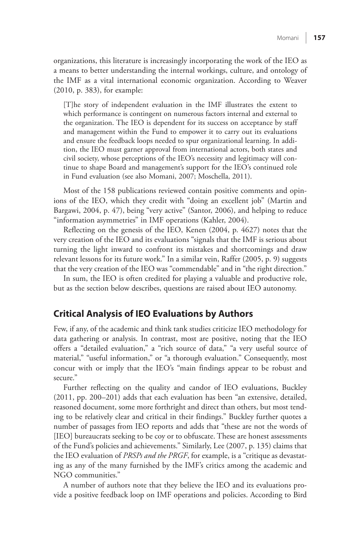organizations, this literature is increasingly incorporating the work of the IEO as a means to better understanding the internal workings, culture, and ontology of the IMF as a vital international economic organization. According to Weaver (2010, p. 383), for example:

 [T]he story of independent evaluation in the IMF illustrates the extent to which performance is contingent on numerous factors internal and external to the organization. The IEO is dependent for its success on acceptance by staff and management within the Fund to empower it to carry out its evaluations and ensure the feedback loops needed to spur organizational learning. In addition, the IEO must garner approval from international actors, both states and civil society, whose perceptions of the IEO's necessity and legitimacy will continue to shape Board and management's support for the IEO's continued role in Fund evaluation (see also Momani, 2007; Moschella, 2011).

 Most of the 158 publications reviewed contain positive comments and opinions of the IEO, which they credit with "doing an excellent job" (Martin and Bargawi, 2004, p. 47), being "very active" (Santor, 2006), and helping to reduce "information asymmetries" in IMF operations (Kahler, 2004).

 Reflecting on the genesis of the IEO, Kenen (2004, p. 4627) notes that the very creation of the IEO and its evaluations "signals that the IMF is serious about turning the light inward to confront its mistakes and shortcomings and draw relevant lessons for its future work." In a similar vein, Raffer (2005, p. 9) suggests that the very creation of the IEO was "commendable" and in "the right direction."

 In sum, the IEO is often credited for playing a valuable and productive role, but as the section below describes, questions are raised about IEO autonomy.

#### **Critical Analysis of IEO Evaluations by Authors**

 Few, if any, of the academic and think tank studies criticize IEO methodology for data gathering or analysis. In contrast, most are positive, noting that the IEO offers a "detailed evaluation," a "rich source of data," "a very useful source of material," "useful information," or "a thorough evaluation." Consequently, most concur with or imply that the IEO's "main findings appear to be robust and secure."

 Further reflecting on the quality and candor of IEO evaluations, Buckley (2011, pp. 200–201) adds that each evaluation has been "an extensive, detailed, reasoned document, some more forthright and direct than others, but most tending to be relatively clear and critical in their findings." Buckley further quotes a number of passages from IEO reports and adds that "these are not the words of [IEO] bureaucrats seeking to be coy or to obfuscate. These are honest assessments of the Fund's policies and achievements." Similarly, Lee (2007, p. 135) claims that the IEO evaluation of *PRSPs and the PRGF* , for example, is a "critique as devastating as any of the many furnished by the IMF's critics among the academic and NGO communities."

 A number of authors note that they believe the IEO and its evaluations provide a positive feedback loop on IMF operations and policies. According to Bird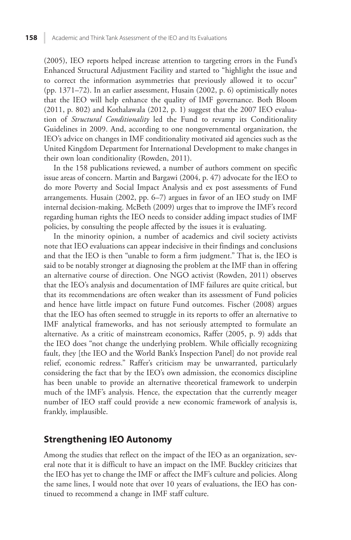(2005), IEO reports helped increase attention to targeting errors in the Fund's Enhanced Structural Adjustment Facility and started to "highlight the issue and to correct the information asymmetries that previously allowed it to occur" (pp. 1371–72). In an earlier assessment, Husain (2002, p. 6) optimistically notes that the IEO will help enhance the quality of IMF governance. Both Bloom (2011, p. 802) and Kothalawala (2012, p. 1) suggest that the 2007 IEO evaluation of *Structural Conditionality* led the Fund to revamp its Conditionality Guidelines in 2009. And, according to one nongovernmental organization, the IEO's advice on changes in IMF conditionality motivated aid agencies such as the United Kingdom Department for International Development to make changes in their own loan conditionality (Rowden, 2011).

 In the 158 publications reviewed, a number of authors comment on specific issue areas of concern. Martin and Bargawi (2004, p. 47) advocate for the IEO to do more Poverty and Social Impact Analysis and ex post assessments of Fund arrangements. Husain (2002, pp. 6–7) argues in favor of an IEO study on IMF internal decision-making. McBeth (2009) urges that to improve the IMF's record regarding human rights the IEO needs to consider adding impact studies of IMF policies, by consulting the people affected by the issues it is evaluating.

 In the minority opinion, a number of academics and civil society activists note that IEO evaluations can appear indecisive in their findings and conclusions and that the IEO is then "unable to form a firm judgment." That is, the IEO is said to be notably stronger at diagnosing the problem at the IMF than in offering an alternative course of direction. One NGO activist (Rowden, 2011) observes that the IEO's analysis and documentation of IMF failures are quite critical, but that its recommendations are often weaker than its assessment of Fund policies and hence have little impact on future Fund outcomes. Fischer (2008) argues that the IEO has often seemed to struggle in its reports to offer an alternative to IMF analytical frameworks, and has not seriously attempted to formulate an alternative. As a critic of mainstream economics, Raffer (2005, p. 9) adds that the IEO does "not change the underlying problem. While officially recognizing fault, they [the IEO and the World Bank's Inspection Panel] do not provide real relief, economic redress." Raffer's criticism may be unwarranted, particularly considering the fact that by the IEO's own admission, the economics discipline has been unable to provide an alternative theoretical framework to underpin much of the IMF's analysis. Hence, the expectation that the currently meager number of IEO staff could provide a new economic framework of analysis is, frankly, implausible.

#### **Strengthening IEO Autonomy**

 Among the studies that reflect on the impact of the IEO as an organization, several note that it is difficult to have an impact on the IMF. Buckley criticizes that the IEO has yet to change the IMF or affect the IMF's culture and policies. Along the same lines, I would note that over 10 years of evaluations, the IEO has continued to recommend a change in IMF staff culture.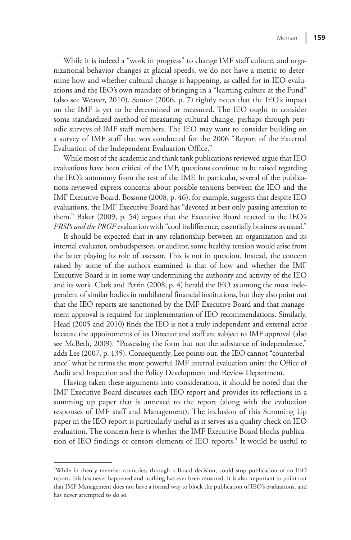While it is indeed a "work in progress" to change IMF staff culture, and organizational behavior changes at glacial speeds, we do not have a metric to determine how and whether cultural change is happening, as called for in IEO evaluations and the IEO's own mandate of bringing in a "learning culture at the Fund" (also see Weaver, 2010). Santor (2006, p. 7) rightly notes that the IEO's impact on the IMF is yet to be determined or measured. The IEO ought to consider some standardized method of measuring cultural change, perhaps through periodic surveys of IMF staff members. The IEO may want to consider building on a survey of IMF staff that was conducted for the 2006 "Report of the External Evaluation of the Independent Evaluation Office."

 While most of the academic and think tank publications reviewed argue that IEO evaluations have been critical of the IMF, questions continue to be raised regarding the IEO's autonomy from the rest of the IMF. In particular, several of the publications reviewed express concerns about possible tensions between the IEO and the IMF Executive Board. Bossone (2008, p. 46), for example, suggests that despite IEO evaluations, the IMF Executive Board has "devoted at best only passing attention to them." Baker (2009, p. 54) argues that the Executive Board reacted to the IEO's *PRSPs and the PRGF* evaluation with "cool indifference, essentially business as usual."

 It should be expected that in any relationship between an organization and its internal evaluator, ombudsperson, or auditor, some healthy tension would arise from the latter playing its role of assessor. This is not in question. Instead, the concern raised by some of the authors examined is that of how and whether the IMF Executive Board is in some way undermining the authority and activity of the IEO and its work. Clark and Perrin (2008, p. 4) herald the IEO as among the most independent of similar bodies in multilateral financial institutions, but they also point out that the IEO reports are sanctioned by the IMF Executive Board and that management approval is required for implementation of IEO recommendations. Similarly, Head (2005 and 2010) finds the IEO is not a truly independent and external actor because the appointments of its Director and staff are subject to IMF approval (also see McBeth, 2009). "Possessing the form but not the substance of independence," adds Lee (2007, p. 135). Consequently, Lee points out, the IEO cannot "counterbalance" what he terms the more powerful IMF internal evaluation units: the Office of Audit and Inspection and the Policy Development and Review Department.

 Having taken these arguments into consideration, it should be noted that the IMF Executive Board discusses each IEO report and provides its reflections in a summing up paper that is annexed to the report (along with the evaluation responses of IMF staff and Management). The inclusion of this Summing Up paper in the IEO report is particularly useful as it serves as a quality check on IEO evaluation. The concern here is whether the IMF Executive Board blocks publication of IEO findings or censors elements of IEO reports.<sup>4</sup> It would be useful to

<sup>4</sup> While in theory member countries, through a Board decision, could stop publication of an IEO report, this has never happened and nothing has ever been censored. It is also important to point out that IMF Management does not have a formal way to block the publication of IEO's evaluations, and has never attempted to do so.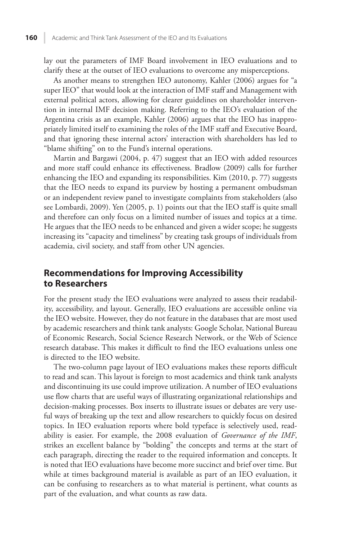lay out the parameters of IMF Board involvement in IEO evaluations and to clarify these at the outset of IEO evaluations to overcome any misperceptions.

 As another means to strengthen IEO autonomy, Kahler (2006) argues for "a super IEO" that would look at the interaction of IMF staff and Management with external political actors, allowing for clearer guidelines on shareholder intervention in internal IMF decision making. Referring to the IEO's evaluation of the Argentina crisis as an example, Kahler (2006) argues that the IEO has inappropriately limited itself to examining the roles of the IMF staff and Executive Board, and that ignoring these internal actors' interaction with shareholders has led to "blame shifting" on to the Fund's internal operations.

 Martin and Bargawi (2004, p. 47) suggest that an IEO with added resources and more staff could enhance its effectiveness. Bradlow (2009) calls for further enhancing the IEO and expanding its responsibilities. Kim (2010, p. 77) suggests that the IEO needs to expand its purview by hosting a permanent ombudsman or an independent review panel to investigate complaints from stakeholders (also see Lombardi, 2009). Yen (2005, p. 1) points out that the IEO staff is quite small and therefore can only focus on a limited number of issues and topics at a time. He argues that the IEO needs to be enhanced and given a wider scope; he suggests increasing its "capacity and timeliness" by creating task groups of individuals from academia, civil society, and staff from other UN agencies.

### **Recommendations for Improving Accessibility to Researchers**

 For the present study the IEO evaluations were analyzed to assess their readability, accessibility, and layout. Generally, IEO evaluations are accessible online via the IEO website. However, they do not feature in the databases that are most used by academic researchers and think tank analysts: Google Scholar, National Bureau of Economic Research, Social Science Research Network, or the Web of Science research database. This makes it difficult to find the IEO evaluations unless one is directed to the IEO website.

 The two-column page layout of IEO evaluations makes these reports difficult to read and scan. This layout is foreign to most academics and think tank analysts and discontinuing its use could improve utilization. A number of IEO evaluations use flow charts that are useful ways of illustrating organizational relationships and decision-making processes. Box inserts to illustrate issues or debates are very useful ways of breaking up the text and allow researchers to quickly focus on desired topics. In IEO evaluation reports where bold typeface is selectively used, readability is easier. For example, the 2008 evaluation of *Governance of the IMF*, strikes an excellent balance by "bolding" the concepts and terms at the start of each paragraph, directing the reader to the required information and concepts. It is noted that IEO evaluations have become more succinct and brief over time. But while at times background material is available as part of an IEO evaluation, it can be confusing to researchers as to what material is pertinent, what counts as part of the evaluation, and what counts as raw data.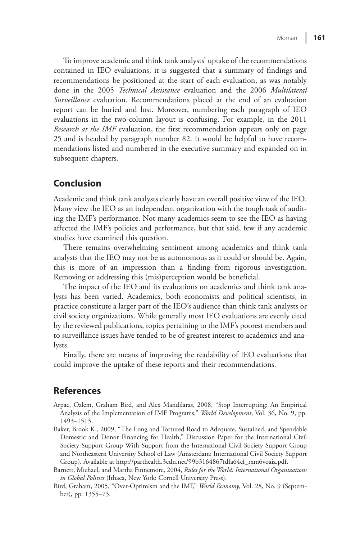To improve academic and think tank analysts' uptake of the recommendations contained in IEO evaluations, it is suggested that a summary of findings and recommendations be positioned at the start of each evaluation, as was notably done in the 2005 *Technical Assistance* evaluation and the 2006 *Multilateral Surveillance* evaluation. Recommendations placed at the end of an evaluation report can be buried and lost. Moreover, numbering each paragraph of IEO evaluations in the two-column layout is confusing. For example, in the 2011 *Research at the IMF* evaluation, the first recommendation appears only on page 25 and is headed by paragraph number 82. It would be helpful to have recommendations listed and numbered in the executive summary and expanded on in subsequent chapters.

# **Conclusion**

 Academic and think tank analysts clearly have an overall positive view of the IEO. Many view the IEO as an independent organization with the tough task of auditing the IMF's performance. Not many academics seem to see the IEO as having affected the IMF's policies and performance, but that said, few if any academic studies have examined this question.

 There remains overwhelming sentiment among academics and think tank analysts that the IEO may not be as autonomous as it could or should be. Again, this is more of an impression than a finding from rigorous investigation. Removing or addressing this (mis)perception would be beneficial.

 The impact of the IEO and its evaluations on academics and think tank analysts has been varied. Academics, both economists and political scientists, in practice constitute a larger part of the IEO's audience than think tank analysts or civil society organizations. While generally most IEO evaluations are evenly cited by the reviewed publications, topics pertaining to the IMF's poorest members and to surveillance issues have tended to be of greatest interest to academics and analysts.

 Finally, there are means of improving the readability of IEO evaluations that could improve the uptake of these reports and their recommendations.

#### **References**

- Arpac, Ozlem, Graham Bird, and Alex Mandilaras, 2008, "Stop Interrupting: An Empirical Analysis of the Implementation of IMF Programs," *World Development* , Vol. 36, No. 9, pp. 1493–1513.
- Baker, Brook K., 2009, "The Long and Tortured Road to Adequate, Sustained, and Spendable Domestic and Donor Financing for Health," Discussion Paper for the International Civil Society Support Group With Support from the International Civil Society Support Group and Northeastern University School of Law (Amsterdam: International Civil Society Support Group). Available at [http://parthealth.3cdn.net/99b3164867fdfa64cf\\_rxm6voaiz.pdf.](http://parthealth.3cdn.net/99b3164867fdfa64cf_rxm6voaiz.pdf)
- Barnett, Michael, and Martha Finnemore, 2004, *Rules for the World: International Organizations in Global Politics* (Ithaca, New York: Cornell University Press).
- Bird, Graham, 2005, "Over-Optimism and the IMF," *World Economy* , Vol. 28, No. 9 (September), pp. 1355–73.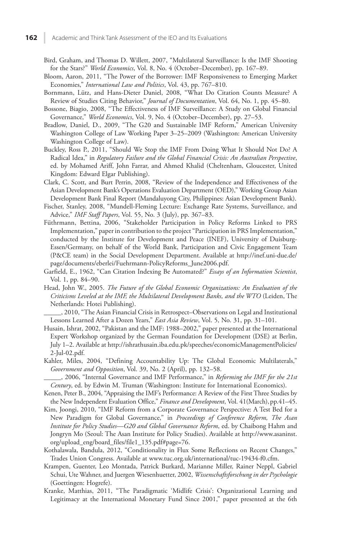- Bird, Graham, and Thomas D. Willett, 2007, "Multilateral Surveillance: Is the IMF Shooting for the Stars?" *World Economics*, Vol. 8, No. 4 (October–December), pp. 167-89.
- Bloom, Aaron, 2011, "The Power of the Borrower: IMF Responsiveness to Emerging Market Economies," *International Law and Politics* , Vol. 43, pp. 767–810.
- Bornmann, Lütz, and Hans-Dieter Daniel, 2008, "What Do Citation Counts Measure? A Review of Studies Citing Behavior," *Journal of Documentation* , Vol. 64, No. 1, pp. 45–80.
- Bossone, Biagio, 2008, "The Effectiveness of IMF Surveillance: A Study on Global Financial Governance," *World Economics*, Vol. 9, No. 4 (October–December), pp. 27–53.
- Bradlow, Daniel, D., 2009, "The G20 and Sustainable IMF Reform," American University Washington College of Law Working Paper 3–25–2009 (Washington: American University Washington College of Law).
- Buckley, Ross P., 2011, "Should We Stop the IMF From Doing What It Should Not Do? A Radical Idea," in *Regulatory Failure and the Global Financial Crisis: An Australian Perspective* , ed. by Mohamed Ariff, John Farrar, and Ahmed Khalid (Cheltenham, Gloucester, United Kingdom: Edward Elgar Publishing).
- Clark, C. Scott, and Burt Perrin, 2008, "Review of the Independence and Effectiveness of the Asian Development Bank's Operations Evaluation Department (OED)," Working Group Asian Development Bank Final Report (Mandaluyong City, Philippines: Asian Development Bank).
- Fischer, Stanley, 2008, "Mundell-Fleming Lecture: Exchange Rate Systems, Surveillance, and Advice," *IMF Staff Papers* , Vol. 55, No. 3 (July), pp. 367–83.
- Füthrmann, Bettina, 2006, "Stakeholder Participation in Policy Reforms Linked to PRS Implementation," paper in contribution to the project "Participation in PRS Implementation," conducted by the Institute for Development and Peace (INEF), University of Duisburg-Essen/Germany, on behalf of the World Bank, Participation and Civic Engagement Team (P&CE team) in the Social Development Department. Available at [http://inef.uni-due.de/](http://inef.uni-due.de/page/documents/eberlei/Fuehrmann-PolicyReforms_June2006.pdf) [page/documents/eberlei/Fuehrmann-PolicyReforms\\_June2006.pdf.](http://inef.uni-due.de/page/documents/eberlei/Fuehrmann-PolicyReforms_June2006.pdf)
- Garfield, E., 1962, "Can Citation Indexing Be Automated?" *Essays of an Information Scientist* , Vol. 1, pp. 84–90.
- Head, John W., 2005. *The Future of the Global Economic Organizations: An Evaluation of the Criticisms Leveled at the IMF, the Multilateral Development Banks, and the WTO* (Leiden, The Netherlands: Hotei Publishing).
- \_\_\_\_\_, 2010, "The Asian Financial Crisis in Retrospect–Observations on Legal and Institutional Lessons Learned After a Dozen Years," *East Asia Review*, Vol. 5, No. 31, pp. 31-101.
- Husain, Ishrat, 2002, "Pakistan and the IMF: 1988–2002," paper presented at the International Expert Workshop organized by the German Foundation for Development (DSE) at Berlin, July 1–2. Available at [http://ishrathusain.iba.edu.pk/speeches/economicManagementPolicies/](http://ishrathusain.iba.edu.pk/speeches/economicManagementPolicies/2-Jul-02.pdf) [2-Jul-02.pdf.](http://ishrathusain.iba.edu.pk/speeches/economicManagementPolicies/2-Jul-02.pdf)
- Kahler, Miles, 2004, "Defining Accountability Up: The Global Economic Multilaterals," *Government and Opposition* , Vol. 39, No. 2 (April), pp. 132–58.

 \_\_\_\_\_, 2006, "Internal Governance and IMF Performance," in *Reforming the IMF for the 21 st Century* , ed. by Edwin M. Truman (Washington: Institute for International Economics).

- Kenen, Peter B., 2004, "Appraising the IMF's Performance: A Review of the First Three Studies by the New Independent Evaluation Office," *Finance and Development* , Vol. 41(March), pp.41–45.
- Kim, Joongi, 2010, "IMF Reform from a Corporate Governance Perspective: A Test Bed for a New Paradigm for Global Governance," in *Proceedings of Conference Reform, The Asan Institute for Policy Studies—G20 and Global Governance Reform* , ed. by Chaibong Hahm and Jongryn Mo (Seoul: The Asan Institute for Policy Studies). Available at [http://www.asaninst.](http://www.asaninst.org/upload_eng/board_files/file1_135.pdf#page=76) [org/upload\\_eng/board\\_files/file1\\_135.pdf#page=76.](http://www.asaninst.org/upload_eng/board_files/file1_135.pdf#page=76)
- Kothalawala, Bandula, 2012, "Conditionality in Flux Some Reflections on Recent Changes," Trades Union Congress. Available at [www.tuc.org.uk/international/tuc-19434-f0.cfm.](www.tuc.org.uk/international/tuc-19434-f0.cfm)
- Krampen, Guenter, Leo Montada, Patrick Burkard, Marianne Miller, Rainer Neppl, Gabriel Schui, Ute Wahner, and Juergen Wiesenhuetter, 2002, *Wissenschaftsforschung in der Psychologie* (Goettingen: Hogrefe).
- Kranke, Matthias, 2011, "The Paradigmatic 'Midlife Crisis': Organizational Learning and Legitimacy at the International Monetary Fund Since 2001," paper presented at the 6th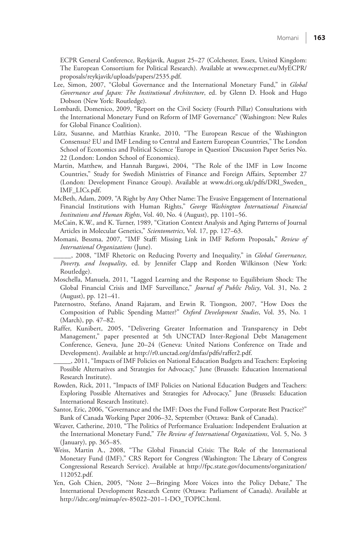ECPR General Conference, Reykjavik, August 25–27 (Colchester, Essex, United Kingdom: The European Consortium for Political Research). Available at [www.ecprnet.eu/MyECPR/](www.ecprnet.eu/MyECPR/proposals/reykjavik/uploads/papers/2535.pdf) [proposals/reykjavik/uploads/papers/2535.pdf.](www.ecprnet.eu/MyECPR/proposals/reykjavik/uploads/papers/2535.pdf) 

- Lee, Simon, 2007, "Global Governance and the International Monetary Fund," in *Global Governance and Japan: The Institutional Architecture* , ed. by Glenn D. Hook and Hugo Dobson (New York: Routledge).
- Lombardi, Domenico, 2009, "Report on the Civil Society (Fourth Pillar) Consultations with the International Monetary Fund on Reform of IMF Governance" (Washington: New Rules for Global Finance Coalition).
- Lütz, Susanne, and Matthias Kranke, 2010, "The European Rescue of the Washington Consensus? EU and IMF Lending to Central and Eastern European Countries," The London School of Economics and Political Science 'Europe in Question' Discussion Paper Series No. 22 (London: London School of Economics).
- Martin, Matthew, and Hannah Bargawi, 2004, "The Role of the IMF in Low Income Countries," Study for Swedish Ministries of Finance and Foreign Affairs, September 27 (London: Development Finance Group). Available at [www.dri.org.uk/pdfs/DRI\\_Sweden\\_](www.dri.org.uk/pdfs/DRI_Sweden_IMF_LICs.pdf) [IMF\\_LICs.pdf.](www.dri.org.uk/pdfs/DRI_Sweden_IMF_LICs.pdf)
- McBeth, Adam, 2009, "A Right by Any Other Name: The Evasive Engagement of International Financial Institutions with Human Rights," *George Washington International Financial Institutions and Human Rights* , Vol. 40, No. 4 (August), pp. 1101–56.
- McCain, K.W., and K. Turner, 1989, "Citation Context Analysis and Aging Patterns of Journal Articles in Molecular Genetics," *Scientometrics* , Vol. 17, pp. 127–63.
- Momani, Bessma, 2007, "IMF Staff: Missing Link in IMF Reform Proposals," *Review of International Organizations* (June).
- \_\_\_\_\_, 2008, "IMF Rhetoric on Reducing Poverty and Inequality," in *Global Governance, Poverty, and Inequality* , ed. by Jennifer Clapp and Rorden Wilkinson (New York: Routledge).
- Moschella, Manuela, 2011, "Lagged Learning and the Response to Equilibrium Shock: The Global Financial Crisis and IMF Surveillance," *Journal of Public Policy*, Vol. 31, No. 2 (August), pp. 121–41.
- Paternostro, Stefano, Anand Rajaram, and Erwin R. Tiongson, 2007, "How Does the Composition of Public Spending Matter?" *Oxford Development Studies* , Vol. 35, No. 1 (March), pp. 47–82.
- Raffer, Kunibert, 2005, "Delivering Greater Information and Transparency in Debt Management," paper presented at 5th UNCTAD Inter-Regional Debt Management Conference, Geneva, June 20–24 (Geneva: United Nations Conference on Trade and Development). Available at [http://r0.unctad.org/dmfas/pdfs/raffer2.pdf.](http://r0.unctad.org/dmfas/pdfs/raffer2.pdf)
- \_\_\_\_\_, 2011, "Impacts of IMF Policies on National Education Budgets and Teachers: Exploring Possible Alternatives and Strategies for Advocacy," June (Brussels: Education International Research Institute).
- Rowden, Rick, 2011, "Impacts of IMF Policies on National Education Budgets and Teachers: Exploring Possible Alternatives and Strategies for Advocacy," June (Brussels: Education International Research Institute).
- Santor, Eric, 2006, "Governance and the IMF: Does the Fund Follow Corporate Best Practice?" Bank of Canada Working Paper 2006–32, September (Ottawa: Bank of Canada).
- Weaver, Catherine, 2010, "The Politics of Performance Evaluation: Independent Evaluation at the International Monetary Fund," *The Review of International Organizations* , Vol. 5, No. 3 (January), pp. 365–85.
- Weiss, Martin A., 2008, "The Global Financial Crisis: The Role of the International Monetary Fund (IMF)," CRS Report for Congress (Washington: The Library of Congress Congressional Research Service). Available at [http://fpc.state.gov/documents/organization/](http://fpc.state.gov/documents/organization/112052.pdf) [112052.pdf.](http://fpc.state.gov/documents/organization/112052.pdf)
- Yen, Goh Chien, 2005, "Note 2—Bringing More Voices into the Policy Debate," The International Development Research Centre (Ottawa: Parliament of Canada). Available at [http://idrc.org/mimap/ev-85022–201–1-DO\\_TOPIC.html.](http://idrc.org/mimap/ev-85022%E2%80%93201%E2%80%931-DO_TOPIC.html)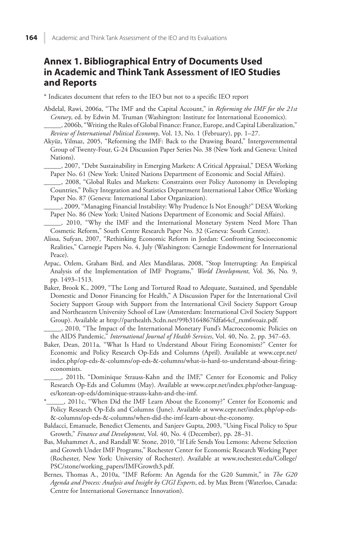# **Annex 1. Bibliographical Entry of Documents Used in Academic and Think Tank Assessment of IEO Studies and Reports**

\* Indicates document that refers to the IEO but not to a specific IEO report

- Abdelal, Rawi, 2006a, "The IMF and the Capital Account," in *Reforming the IMF for the 21st Century* , ed. by Edwin M. Truman (Washington: Institute for International Economics).
- \_\_\_\_\_, 2006b, "Writing the Rules of Global Finance: France, Europe, and Capital Liberalization," *Review of International Political Economy* , Vol. 13, No. 1 (February), pp. 1–27.
- Akyüz, Yilmaz, 2005, "Reforming the IMF: Back to the Drawing Board," Intergovernmental Group of Twenty-Four, G-24 Discussion Paper Series No. 38 (New York and Geneva: United Nations).

 \_\_\_\_\_, 2007, "Debt Sustainability in Emerging Markets: A Critical Appraisal," DESA Working Paper No. 61 (New York: United Nations Department of Economic and Social Affairs).

- \_\_\_\_\_, 2008, "Global Rules and Markets: Constraints over Policy Autonomy in Developing Countries," Policy Integration and Statistics Department International Labor Office Working Paper No. 87 (Geneva: International Labor Organization).
- \_\_\_\_\_, 2009, "Managing Financial Instability: Why Prudence Is Not Enough?" DESA Working Paper No. 86 (New York: United Nations Department of Economic and Social Affairs).
- \_\_\_\_\_, 2010, "Why the IMF and the International Monetary System Need More Than Cosmetic Reform," South Centre Research Paper No. 32 (Geneva: South Centre).
- Alissa, Sufyan, 2007, "Rethinking Economic Reform in Jordan: Confronting Socioeconomic Realities," Carnegie Papers No. 4, July (Washington: Carnegie Endowment for International Peace).
- Arpac, Ozlem, Graham Bird, and Alex Mandilaras, 2008, "Stop Interrupting: An Empirical Analysis of the Implementation of IMF Programs," *World Development*, Vol. 36, No. 9, pp. 1493–1513.
- Baker, Brook K., 2009, "The Long and Tortured Road to Adequate, Sustained, and Spendable Domestic and Donor Financing for Health," A Discussion Paper for the International Civil Society Support Group with Support from the International Civil Society Support Group and Northeastern University School of Law (Amsterdam: International Civil Society Support Group). Available at [http://parthealth.3cdn.net/99b3164867fdfa64cf\\_rxm6voaiz.pdf.](http://parthealth.3cdn.net/99b3164867fdfa64cf_rxm6voaiz.pdf)
- \_\_\_\_\_, 2010, "The Impact of the International Monetary Fund's Macroeconomic Policies on the AIDS Pandemic," *International Journal of Health Services* , Vol. 40, No. 2, pp. 347–63.
- Baker, Dean, 2011a, "What Is Hard to Understand About Firing Economists?" Center for Economic and Policy Research Op-Eds and Columns (April). Available at [www.cepr.net/](www.cepr.net/index.php/op-eds-&-columns/op-eds-&-columns/what-is-hard-to-understand-about-firinge-conomists) [index.php/op-eds-&-columns/op-eds-&-columns/what-is-hard-to-understand-about-firing](www.cepr.net/index.php/op-eds-&-columns/op-eds-&-columns/what-is-hard-to-understand-about-firinge-conomists)[economists.](www.cepr.net/index.php/op-eds-&-columns/op-eds-&-columns/what-is-hard-to-understand-about-firinge-conomists)

 \_\_\_\_\_, 2011b, "Dominique Strauss-Kahn and the IMF," Center for Economic and Policy Research Op-Eds and Columns (May). Available at [www.cepr.net/index.php/other-languag](www.cepr.net/index.php/other-languages/korean-op-eds/dominique-strauss-kahn-and-the-imf)[es/korean-op-eds/dominique-strauss-kahn-and-the-imf.](www.cepr.net/index.php/other-languages/korean-op-eds/dominique-strauss-kahn-and-the-imf)

 \*\_\_\_\_\_, 2011c, "When Did the IMF Learn About the Economy?" Center for Economic and Policy Research Op-Eds and Columns (June). Available at [www.cepr.net/index.php/op-eds-](www.cepr.net/index.php/op-eds-&-columns/op-eds-&-columns/when-did-the-imf-learn-about-the-economy) [&-columns/op-eds-&-columns/when-did-the-imf-learn-about-the-economy.](www.cepr.net/index.php/op-eds-&-columns/op-eds-&-columns/when-did-the-imf-learn-about-the-economy)

 Baldacci, Emanuele, Benedict Clements, and Sanjeev Gupta, 2003, "Using Fiscal Policy to Spur Growth," *Finance and Development* , Vol. 40, No. 4 (December), pp. 28–31.

- Bas, Muhammet A., and Randall W. Stone, 2010, "If Life Sends You Lemons: Adverse Selection and Growth Under IMF Programs," Rochester Center for Economic Research Working Paper (Rochester, New York: University of Rochester). Available at [www.rochester.edu/College/](www.rochester.edu/College/PSC/stone/working_papers/IMFGrowth3.pdf) [PSC/stone/working\\_papers/IMFGrowth3.pdf.](www.rochester.edu/College/PSC/stone/working_papers/IMFGrowth3.pdf)
- Bernes, Thomas A., 2010a, "IMF Reform: An Agenda for the G20 Summit," in *The G20 Agenda and Process: Analysis and Insight by CIGI Experts* , ed. by Max Brem (Waterloo, Canada: Centre for International Governance Innovation).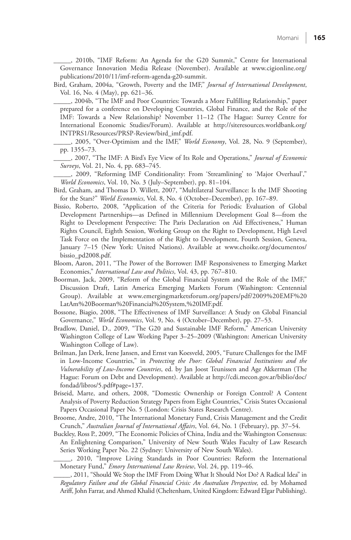\_\_\_\_\_, 2010b, "IMF Reform: An Agenda for the G20 Summit," Centre for International Governance Innovation Media Release (November). Available at [www.cigionline.org/](www.cigionline.org/publications/2010/11/imf-reform-agenda-g20-summit) [publications/2010/11/imf-reform-agenda-g20-summit.](www.cigionline.org/publications/2010/11/imf-reform-agenda-g20-summit) 

 Bird, Graham, 2004a, "Growth, Poverty and the IMF," *Journal of International Development* , Vol. 16, No. 4 (May), pp. 621–36.

 \_\_\_\_\_, 2004b, "The IMF and Poor Countries: Towards a More Fulfilling Relationship," paper prepared for a conference on Developing Countries, Global Finance, and the Role of the IMF: Towards a New Relationship? November 11–12 (The Hague: Surrey Centre for International Economic Studies/Forum). Available at [http://siteresources.worldbank.org/](http://siteresources.worldbank.org/INTPRS1/Resources/PRSP-Review/bird_imf.pdf) [INTPRS1/Resources/PRSP-Review/bird\\_imf.pdf.](http://siteresources.worldbank.org/INTPRS1/Resources/PRSP-Review/bird_imf.pdf)

- \_\_\_\_\_, 2005, "Over-Optimism and the IMF," *World Economy* , Vol. 28, No. 9 (September), pp. 1355–73.
- \_\_\_\_\_, 2007, "The IMF: A Bird's Eye View of Its Role and Operations," *Journal of Economic Surveys* , Vol. 21, No. 4, pp. 683–745.

 \_\_\_\_\_, 2009, "Reforming IMF Conditionality: From 'Streamlining' to 'Major Overhaul'," *World Economics* , Vol. 10, No. 3 (July–September), pp. 81–104.

- Bird, Graham, and Thomas D. Willett, 2007, "Multilateral Surveillance: Is the IMF Shooting for the Stars?" *World Economics*, Vol. 8, No. 4 (October-December), pp. 167-89.
- Bissio, Roberto, 2008, "Application of the Criteria for Periodic Evaluation of Global Development Partnerships—as Defined in Millennium Development Goal 8—from the Right to Development Perspective: The Paris Declaration on Aid Effectiveness," Human Rights Council, Eighth Session, Working Group on the Right to Development, High Level Task Force on the Implementation of the Right to Development, Fourth Session, Geneva, January 7–15 (New York: United Nations). Available at [www.choike.org/documentos/](www.choike.org/documentos/bissio_pd2008.pdf) [bissio\\_pd2008.pdf.](www.choike.org/documentos/bissio_pd2008.pdf)
- Bloom, Aaron, 2011, "The Power of the Borrower: IMF Responsiveness to Emerging Market Economies," *International Law and Politics* , Vol. 43, pp. 767–810.
- Boorman, Jack, 2009, "Reform of the Global Financial System and the Role of the IMF," Discussion Draft, Latin America Emerging Markets Forum (Washington: Centennial Group). Available at [www.emergingmarketsforum.org/papers/pdf/2009%20EMF%20](www.emergingmarketsforum.org/papers/pdf/2009%20EMF%20LatAm%20Boorman%20Financial%20System,%20IMF.pdf) [LatAm%20Boorman%20Financial%20System,%20IMF.pdf.](www.emergingmarketsforum.org/papers/pdf/2009%20EMF%20LatAm%20Boorman%20Financial%20System,%20IMF.pdf)
- Bossone, Biagio, 2008, "The Effectiveness of IMF Surveillance: A Study on Global Financial Governance," *World Economics*, Vol. 9, No. 4 (October–December), pp. 27–53.
- Bradlow, Daniel, D., 2009, "The G20 and Sustainable IMF Reform," American University Washington College of Law Working Paper 3–25–2009 (Washington: American University Washington College of Law).
- Brilman, Jan Derk, Irene Jansen, and Ernst van Koesveld, 2005, "Future Challenges for the IMF in Low-Income Countries," in *Protecting the Poor: Global Financial Institutions and the Vulnerability of Low-Income Countries* , ed. by Jan Joost Teunissen and Age Akkerman (The Hague: Forum on Debt and Development). Available at [http://cdi.mecon.gov.ar/biblio/doc/](http://cdi.mecon.gov.ar/biblio/doc/fondad/libros/5.pdf#page=137) [fondad/libros/5.pdf#page=137.](http://cdi.mecon.gov.ar/biblio/doc/fondad/libros/5.pdf#page=137)
- Briseid, Marte, and others, 2008, "Domestic Ownership or Foreign Control? A Content Analysis of Poverty Reduction Strategy Papers from Eight Countries," Crisis States Occasional Papers Occasional Paper No. 5 (London: Crisis States Research Centre).
- Broome, Andre, 2010, "The International Monetary Fund, Crisis Management and the Credit Crunch," *Australian Journal of International Affairs* , Vol. 64, No. 1 (February), pp. 37–54.
- Buckley, Ross P., 2009, "The Economic Policies of China, India and the Washington Consensus: An Enlightening Comparison," University of New South Wales Faculty of Law Research Series Working Paper No. 22 (Sydney: University of New South Wales).
- \_\_\_\_\_, 2010, "Improve Living Standards in Poor Countries: Reform the International Monetary Fund," *Emory International Law Review* , Vol. 24, pp. 119–46.

 \_\_\_\_\_, 2011, "Should We Stop the IMF From Doing What It Should Not Do? A Radical Idea" in *Regulatory Failure and the Global Financial Crisis: An Australian Perspective,* ed. by Mohamed Ariff, John Farrar, and Ahmed Khalid (Cheltenham, United Kingdom: Edward Elgar Publishing).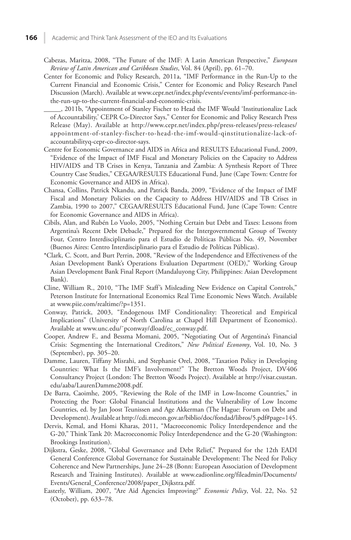- Cabezas, Maritza, 2008, "The Future of the IMF: A Latin American Perspective," *European Review of Latin American and Caribbean Studies* , Vol. 84 (April), pp. 61–70.
- Center for Economic and Policy Research, 2011a, "IMF Performance in the Run-Up to the Current Financial and Economic Crisis," Center for Economic and Policy Research Panel Discussion (March). Available at [www.cepr.net/index.php/events/events/imf-performance-in](www.cepr.net/index.php/events/events/imf-performance-in-the-run-up-to-the-current-financial-and-economic-crisis)[the-run-up-to-the-current-financial-and-economic-crisis.](www.cepr.net/index.php/events/events/imf-performance-in-the-run-up-to-the-current-financial-and-economic-crisis)
	- \_\_\_\_\_, 2011b, "Appointment of Stanley Fischer to Head the IMF Would 'Institutionalize Lack of Accountability,' CEPR Co-Director Says," Center for Economic and Policy Research Press Release (May). Available at [http://www.cepr.net/index.php/press-releases/press-releases](http://www.cepr.net/index.php/press-releases/press-releases/appointment-of-stanley-fischer-to-head-the-imf-would-qinstitutionalize-lack-of-accountabilityq-cepr-co-director-say)/ [appointment-of-stanley-fischer-to-head-the-imf-would-qinstitutionalize-lack-of](http://www.cepr.net/index.php/press-releases/press-releases/appointment-of-stanley-fischer-to-head-the-imf-would-qinstitutionalize-lack-of-accountabilityq-cepr-co-director-say)[accountabilityq-cepr-co-director-says.](http://www.cepr.net/index.php/press-releases/press-releases/appointment-of-stanley-fischer-to-head-the-imf-would-qinstitutionalize-lack-of-accountabilityq-cepr-co-director-say)
- Centre for Economic Governance and AIDS in Africa and RESULTS Educational Fund, 2009, "Evidence of the Impact of IMF Fiscal and Monetary Policies on the Capacity to Address HIV/AIDS and TB Crises in Kenya, Tanzania and Zambia: A Synthesis Report of Three Country Case Studies," CEGAA/RESULTS Educational Fund, June (Cape Town: Centre for Economic Governance and AIDS in Africa).
- Chansa, Collins, Patrick Nkandu, and Patrick Banda, 2009, "Evidence of the Impact of IMF Fiscal and Monetary Policies on the Capacity to Address HIV/AIDS and TB Crises in Zambia, 1990 to 2007," CEGAA/RESULTS Educational Fund, June (Cape Town: Centre for Economic Governance and AIDS in Africa).
- Cibils, Alan, and Rubén Lo Vuolo, 2005, "Nothing Certain but Debt and Taxes: Lessons from Argentina's Recent Debt Debacle," Prepared for the Intergovernmental Group of Twenty Four, Centro Interdisciplinario para el Estudio de Políticas Públicas No. 49, November (Buenos Aires: Centro Interdisciplinario para el Estudio de Políticas Públicas).
- \*Clark, C. Scott, and Burt Perrin, 2008, "Review of the Independence and Effectiveness of the Asian Development Bank's Operations Evaluation Department (OED)," Working Group Asian Development Bank Final Report (Mandaluyong City, Philippines: Asian Development Bank).
- Cline, William R., 2010, "The IMF Staff's Misleading New Evidence on Capital Controls," Peterson Institute for International Economics Real Time Economic News Watch. Available at [www.piie.com/realtime/?p=1351.](www.piie.com/realtime/?p=1351)
- Conway, Patrick, 2003, "Endogenous IMF Conditionality: Theoretical and Empirical Implications" (University of North Carolina at Chapel Hill Department of Economics). Available at [www.unc.edu/˜pconway/dload/ec\\_conway.pdf.](www.unc.edu/%CB%9Cpconway/dload/ec_conway.pdf)
- Cooper, Andrew F., and Bessma Momani, 2005, "Negotiating Out of Argentina's Financial Crisis: Segmenting the International Creditors," *New Political Economy* , Vol. 10, No. 3 (September), pp. 305–20.
- Damme, Lauren, Tiffany Misrahi, and Stephanie Orel, 2008, "Taxation Policy in Developing Countries: What Is the IMF's Involvement?" The Bretton Woods Project, DV406 Consultancy Project (London: The Bretton Woods Project). Available at [http://visar.csustan.](http://visar.csustan.edu/aaba/LaurenDamme2008.pdf) [edu/aaba/LaurenDamme2008.pdf.](http://visar.csustan.edu/aaba/LaurenDamme2008.pdf)
- De Barra, Caoimhe, 2005, "Reviewing the Role of the IMF in Low-Income Countries," in Protecting the Poor: Global Financial Institutions and the Vulnerability of Low Income Countries, ed. by Jan Joost Teunissen and Age Akkerman (The Hague: Forum on Debt and Development). Available at [http://cdi.mecon.gov.ar/biblio/doc/fondad/libros/5.pdf#page=145.](http://cdi.mecon.gov.ar/biblio/doc/fondad/libros/5.pdf#page=145)
- Dervis, Kemal, and Homi Kharas, 2011, "Macroeconomic Policy Interdependence and the G-20," Think Tank 20: Macroeconomic Policy Interdependence and the G-20 (Washington: Brookings Institution).
- Dijkstra, Geske, 2008, "Global Governance and Debt Relief," Prepared for the 12th EADI General Conference Global Governance for Sustainable Development: The Need for Policy Coherence and New Partnerships, June 24–28 (Bonn: European Association of Development Research and Training Institutes). Available at [www.eadionline.org/fileadmin/Documents/](www.eadionline.org/fileadmin/Documents/Events/General_Conference/2008/paper_Dijkstra.pdf) [Events/General\\_Conference/2008/paper\\_Dijkstra.pdf.](www.eadionline.org/fileadmin/Documents/Events/General_Conference/2008/paper_Dijkstra.pdf)
- Easterly, William, 2007, "Are Aid Agencies Improving?" *Economic Policy*, Vol. 22, No. 52 (October), pp. 633–78.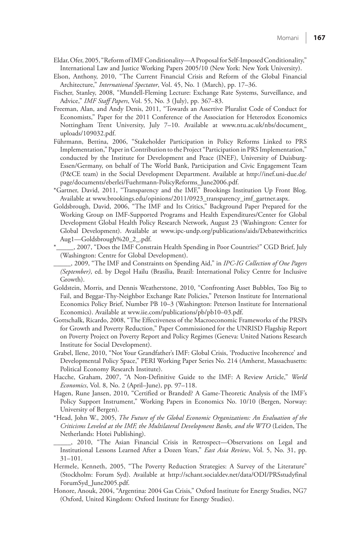- Eldar, Ofer, 2005, "Reform of IMF Conditionality—A Proposal for Self-Imposed Conditionality," International Law and Justice Working Papers 2005/10 (New York: New York University).
- Elson, Anthony, 2010, "The Current Financial Crisis and Reform of the Global Financial Architecture," *International Spectator* , Vol. 45, No. 1 (March), pp. 17–36.
- Fischer, Stanley, 2008, "Mundell-Fleming Lecture: Exchange Rate Systems, Surveillance, and Advice," *IMF Staff Papers* , Vol. 55, No. 3 (July), pp. 367–83.
- Freeman, Alan, and Andy Denis, 2011, "Towards an Assertive Pluralist Code of Conduct for Economists," Paper for the 2011 Conference of the Association for Heterodox Economics Nottingham Trent University, July 7–10. Available at [www.ntu.ac.uk/nbs/document\\_](www.ntu.ac.uk/nbs/document_uploads/109032.pdf) [uploads/109032.pdf.](www.ntu.ac.uk/nbs/document_uploads/109032.pdf)
- Führmann, Bettina, 2006, "Stakeholder Participation in Policy Reforms Linked to PRS Implementation," Paper in Contribution to the Project "Participation in PRS Implementation," conducted by the Institute for Development and Peace (INEF), University of Duisburg-Essen/Germany, on behalf of The World Bank, Participation and Civic Engagement Team (P&CE team) in the Social Development Department. Available at [http://inef.uni-due.de/](http://inef.uni-due.de/page/documents/eberlei/Fuehrmann-PolicyReforms_June2006.pdf) [page/documents/eberlei/Fuehrmann-PolicyReforms\\_June2006.pdf.](http://inef.uni-due.de/page/documents/eberlei/Fuehrmann-PolicyReforms_June2006.pdf)
- \*Gartner, David, 2011, "Transparency and the IMF," Brookings Institution Up Front Blog. Available at [www.brookings.edu/opinions/2011/0923\\_transparency\\_imf\\_gartner.aspx.](www.brookings.edu/opinions/2011/0923_transparency_imf_gartner.aspx)
- Goldsbrough, David, 2006, "The IMF and Its Critics," Background Paper Prepared for the Working Group on IMF-Supported Programs and Health Expenditures/Center for Global Development Global Health Policy Research Network, August 23 (Washington: Center for Global Development). Available at [www.ipc-undp.org/publications/aids/Debatewithcritics](http://www.ipc-undp.org/publications/aids/DebatewithcriticsAug1%E2%80%94Goldsbrough_2_.pdf) [Aug1—Goldsbrough%20\\_2\\_.pdf.](http://www.ipc-undp.org/publications/aids/DebatewithcriticsAug1%E2%80%94Goldsbrough_2_.pdf)
- \*\_\_\_\_\_, 2007, "Does the IMF Constrain Health Spending in Poor Countries?" CGD Brief, July (Washington: Centre for Global Development).
- \_\_\_\_\_, 2009, "The IMF and Constraints on Spending Aid," in *IPC-IG Collection of One Pagers (September)* , ed. by Degol Hailu (Brasilia, Brazil: International Policy Centre for Inclusive Growth).
- Goldstein, Morris, and Dennis Weatherstone, 2010, "Confronting Asset Bubbles, Too Big to Fail, and Beggar-Thy-Neighbor Exchange Rate Policies," Peterson Institute for International Economics Policy Brief, Number PB 10–3 (Washington: Peterson Institute for International Economics). Available at [wvw.iie.com/publications/pb/pb10–03.pdf.](wvw.iie.com/publications/pb/pb10%E2%80%9303.pdf)
- Gottschalk, Ricardo, 2008, "The Effectiveness of the Macroeconomic Frameworks of the PRSPs for Growth and Poverty Reduction," Paper Commissioned for the UNRISD Flagship Report on Poverty Project on Poverty Report and Policy Regimes (Geneva: United Nations Research Institute for Social Development).
- Grabel, Ilene, 2010, "Not Your Grandfather's IMF: Global Crisis, 'Productive Incoherence' and Developmental Policy Space," PERI Working Paper Series No. 214 (Amherst, Massachusetts: Political Economy Research Institute).
- Hacche, Graham, 2007, "A Non-Definitive Guide to the IMF: A Review Article," *World Economics* , Vol. 8, No. 2 (April–June), pp. 97–118.
- Hagen, Rune Jansen, 2010, "Certified or Branded? A Game-Theoretic Analysis of the IMF's Policy Support Instrument," Working Papers in Economics No. 10/10 (Bergen, Norway: University of Bergen).
- \*Head, John W., 2005, *The Future of the Global Economic Organizations: An Evaluation of the Criticisms Leveled at the IMF, the Multilateral Development Banks, and the WTO* (Leiden, The Netherlands: Hotei Publishing).
- \_\_\_\_\_, 2010, "The Asian Financial Crisis in Retrospect—Observations on Legal and Institutional Lessons Learned After a Dozen Years," *East Asia Review* , Vol. 5, No. 31, pp. 31–101.
- Hermele, Kenneth, 2005, "The Poverty Reduction Strategies: A Survey of the Literature" (Stockholm: Forum Syd). Available at [http://schant.socialdev.net/data/ODI/PRSstudyfinal](http://schant.socialdev.net/data/ODI/PRSstudyfinalForumSyd_June2005.pdf) [ForumSyd\\_June2005.pdf.](http://schant.socialdev.net/data/ODI/PRSstudyfinalForumSyd_June2005.pdf)
- Honore, Anouk, 2004, "Argentina: 2004 Gas Crisis," Oxford Institute for Energy Studies, NG7 (Oxford, United Kingdom: Oxford Institute for Energy Studies).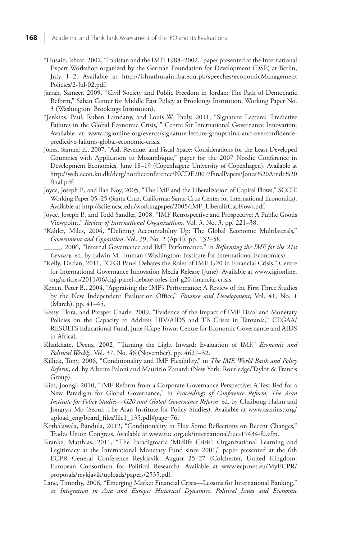- \*Husain, Ishrat, 2002, "Pakistan and the IMF: 1988–2002," paper presented at the International Expert Workshop organized by the German Foundation for Development (DSE) at Berlin, July 1–2. Available at [http://ishrathusain.iba.edu.pk/speeches/economicManagement](http://ishrathusain.iba.edu.pk/speeches/economicManagementPolicies/2-Jul-02.pdf) [Policies/2-Jul-02.pdf.](http://ishrathusain.iba.edu.pk/speeches/economicManagementPolicies/2-Jul-02.pdf)
- Jarrah, Sameer, 2009, "Civil Society and Public Freedom in Jordan: The Path of Democratic Reform," Saban Center for Middle East Policy at Brookings Institution, Working Paper No. 3 (Washington: Brookings Institution).
- \*Jenkins, Paul, Ruben Lamdany, and Louis W. Pauly, 2011, "Signature Lecture: 'Predictive Failures in the Global Economic Crisis,'" Centre for International Governance Innovation. Available at [www.cigionline.org/events/signature-lecture-groupthink-and-overconfidence](www.cigionline.org/events/signature-lecture-groupthink-and-overconfidencepredictive-failures-global-economic-crisis)[predictive-failures-global-economic-crisis.](www.cigionline.org/events/signature-lecture-groupthink-and-overconfidencepredictive-failures-global-economic-crisis)
- Jones, Samuel E., 2007, "Aid, Revenue, and Fiscal Space: Considerations for the Least Developed Countries with Application to Mozambique," paper for the 2007 Nordic Conference in Development Economics, June 18–19 (Copenhagen: University of Copenhagen). Available at [http://web.econ.ku.dk/derg/nordicconference/NCDE2007/FinalPapers/Jones%20Arndt%20](http://web.econ.ku.dk/derg/nordicconference/NCDE2007/FinalPapers/Jones%20Arndt%20final.pdf) [final.pdf.](http://web.econ.ku.dk/derg/nordicconference/NCDE2007/FinalPapers/Jones%20Arndt%20final.pdf)
- Joyce, Joseph P., and Ilan Noy, 2005, "The IMF and the Liberalization of Capital Flows," SCCIE Working Paper 05–25 (Santa Cruz, California: Santa Cruz Center for International Economics). Available at [http://sciie.ucsc.edu/workingpaper/2005/IMF\\_LiberalizCapFlows.pdf.](http://sciie.ucsc.edu/workingpaper/2005/IMF_LiberalizCapFlows.pdf)
- Joyce, Joseph P., and Todd Sandler, 2008, "IMF Retrospective and Prospective: A Public Goods Viewpoint," *Review of International Organizations* , Vol. 3, No. 3, pp. 221–38.
- \*Kahler, Miles, 2004, "Defining Accountability Up: The Global Economic Multilaterals," *Government and Opposition* , Vol. 39, No. 2 (April), pp. 132–58.
- \_\_\_\_\_, 2006, "Internal Governance and IMF Performance," in *Reforming the IMF for the 21 st Century* , ed. by Edwin M. Truman (Washington: Institute for International Economics).
- \*Kelly, Declan, 2011, "CIGI Panel Debates the Roles of IMF, G20 in Financial Crisis," Centre for International Governance Innovation Media Release (June). Available at [www.cigionline.](www.cigionline.org/articles/2011/06/cigi-panel-debate-roles-imf-g20-financial-crisis) [org/articles/2011/06/cigi-panel-debate-roles-imf-g20-financial-crisis.](www.cigionline.org/articles/2011/06/cigi-panel-debate-roles-imf-g20-financial-crisis)
- Kenen, Peter B., 2004, "Appraising the IMF's Performance: A Review of the First Three Studies by the New Independent Evaluation Office," Finance and Development, Vol. 41, No. 1 (March), pp. 41–45.
- Kessy, Flora, and Prosper Charle, 2009, "Evidence of the Impact of IMF Fiscal and Monetary Policies on the Capacity to Address HIV/AIDS and TB Crises in Tanzania," CEGAA/ RESULTS Educational Fund, June (Cape Town: Centre for Economic Governance and AIDS in Africa).
- Khatkhate, Deena, 2002, "Turning the Light Inward: Evaluation of IMF," *Economic and Political Weekly* , Vol. 37, No. 46 (November), pp. 4627–32.
- Killick, Tony, 2006, "Conditionality and IMF Flexibility," in *The IMF, World Bank and Policy Reform* , ed. by Alberto Paloni and Maurizio Zanardi (New York: Routledge/Taylor & Francis Group).
- Kim, Joongi, 2010, "IMF Reform from a Corporate Governance Perspective: A Test Bed for a New Paradigm for Global Governance," in *Proceedings of Conference Reform, The Asan Institute for Policy Studies* — *G20 and Global Governance Reform* , ed. by Chaibong Hahm and Jongryn Mo (Seoul: The Asan Institute for Policy Studies). Available at [www.asaninst.org/](www.asaninst.org/upload_eng/board_files/file1_135.pdf#page=76) [upload\\_eng/board\\_files/file1\\_135.pdf#page=76.](www.asaninst.org/upload_eng/board_files/file1_135.pdf#page=76)
- Kothalawala, Bandula, 2012, "Conditionality in Flux Some Reflections on Recent Changes," Trades Union Congress. Available at [www.tuc.org.uk/international/tuc-19434-f0.cfm.](www.tuc.org.uk/international/tuc-19434-f0.cfm)
- Kranke, Matthias, 2011, "The Paradigmatic 'Midlife Crisis': Organizational Learning and Legitimacy at the International Monetary Fund since 2001," paper presented at the 6th ECPR General Conference Reykjavik, August 25–27 (Colchester, United Kingdom: European Consortium for Political Research). Available at [www.ecprnet.eu/MyECPR/](www.ecprnet.eu/MyECPR/proposals/reykjavik/uploads/papers/2535.pdf) [proposals/reykjavik/uploads/papers/2535.pdf.](www.ecprnet.eu/MyECPR/proposals/reykjavik/uploads/papers/2535.pdf)
- Lane, Timothy, 2006, "Emerging Market Financial Crisis—Lessons for International Banking," in *Integration in Asia and Europe: Historical Dynamics, Political Issues and Economic*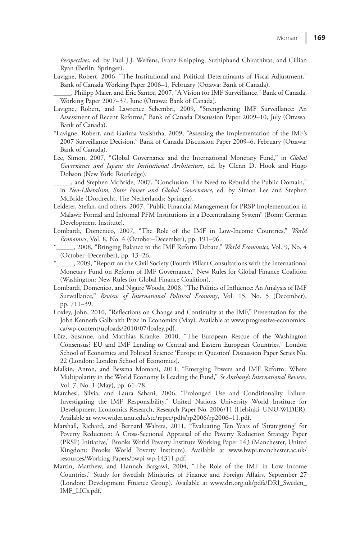*Perspectives* , ed. by Paul J.J. Welfens, Franz Knipping, Suthiphand Chirathivat, and Cillian Ryan (Berlin: Springer).

 Lavigne, Robert, 2006, "The Institutional and Political Determinants of Fiscal Adjustment," Bank of Canada Working Paper 2006–1, February (Ottawa: Bank of Canada).

 \_\_\_\_\_, Philipp Maier, and Eric Santor, 2007, "A Vision for IMF Surveillance," Bank of Canada, Working Paper 2007–37, June (Ottawa: Bank of Canada).

- Lavigne, Robert, and Lawrence Schembri, 2009, "Strengthening IMF Surveillance: An Assessment of Recent Reforms," Bank of Canada Discussion Paper 2009–10, July (Ottawa: Bank of Canada).
- \*Lavigne, Robert, and Garima Vasishtha, 2009, "Assessing the Implementation of the IMF's 2007 Surveillance Decision," Bank of Canada Discussion Paper 2009–6, February (Ottawa: Bank of Canada).
- Lee, Simon, 2007, "Global Governance and the International Monetary Fund," in *Global Governance and Japan: the Institutional Architecture* , ed. by Glenn D. Hook and Hugo Dobson (New York: Routledge).
- \_\_\_\_\_, and Stephen McBride, 2007, "Conclusion: The Need to Rebuild the Public Domain," in *Neo-Liberalism, State Power and Global Governance* , ed. by Simon Lee and Stephen McBride (Dordrecht, The Netherlands: Springer).
- Leiderer, Stefan, and others, 2007, "Public Financial Management for PRSP Implementation in Malawi: Formal and Informal PFM Institutions in a Decentralising System" (Bonn: German Development Institute).
- Lombardi, Domenico, 2007, "The Role of the IMF in Low-Income Countries," *World Economics* , Vol. 8, No. 4 (October–December), pp. 191–96.
- $\_$ , 2008, "Bringing Balance to the IMF Reform Debate," *World Economics*, Vol. 9, No. 4 (October–December), pp. 13–26.
- \*\_\_\_\_\_, 2009, "Report on the Civil Society (Fourth Pillar) Consultations with the International Monetary Fund on Reform of IMF Governance," New Rules for Global Finance Coalition (Washington: New Rules for Global Finance Coalition).
- Lombardi, Domenico, and Ngaire Woods, 2008, "The Politics of Influence: An Analysis of IMF Surveillance," Review of International Political Economy, Vol. 15, No. 5 (December), pp. 711–39.
- Loxley, John, 2010, "Reflections on Change and Continuity at the IMF," Presentation for the John Kenneth Galbraith Prize in Economics (May). Available at [www.progressive-economics.](http://www.progressive-economics.ca/wp-content/uploads/2010/07/loxley.pdf) [ca/wp-content/uploads/2010/07/loxley.pdf.](http://www.progressive-economics.ca/wp-content/uploads/2010/07/loxley.pdf)
- Lütz, Susanne, and Matthias Kranke, 2010, "The European Rescue of the Washington Consensus? EU and IMF Lending to Central and Eastern European Countries," London School of Economics and Political Science 'Europe in Question' Discussion Paper Series No. 22 (London: London School of Economics).
- Malkin, Anton, and Bessma Momani, 2011, "Emerging Powers and IMF Reform: Where Multipolarity in the World Economy Is Leading the Fund," *St Anthony's International Review* , Vol. 7, No. 1 (May), pp. 61–78.
- Marchesi, Silvia, and Laura Sabani, 2006, "Prolonged Use and Conditionality Failure: Investigating the IMF Responsibility," United Nations University World Institute for Development Economics Research, Research Paper No. 2006/11 (Helsinki: UNU-WIDER). Available at [www.wider.unu.edu/stc/repec/pdfs/rp2006/rp2006–11.pdf.](www.wider.unu.edu/stc/repec/pdfs/rp2006/rp2006%E2%80%9311.pdf)
- Marshall, Richard, and Bernard Walters, 2011, "Evaluating Ten Years of 'Strategizing' for Poverty Reduction: A Cross-Sectional Appraisal of the Poverty Reduction Strategy Paper (PRSP) Initiative," Brooks World Poverty Institute Working Paper 143 (Manchester, United Kingdom: Brooks World Poverty Institute). Available at [www.bwpi.manchester.ac.uk/](www.bwpi.manchester.ac.uk/resources/Working-Papers/bwpi-wp-14311.pdf) [resources/Working-Papers/bwpi-wp-14311.pdf.](www.bwpi.manchester.ac.uk/resources/Working-Papers/bwpi-wp-14311.pdf)
- Martin, Matthew, and Hannah Bargawi, 2004, "The Role of the IMF in Low Income Countries," Study for Swedish Ministries of Finance and Foreign Affairs, September 27 (London: Development Finance Group). Available at [www.dri.org.uk/pdfs/DRI\\_Sweden\\_](www.dri.org.uk/pdfs/DRI_Sweden_IMF_LICs.pdf) [IMF\\_LICs.pdf.](www.dri.org.uk/pdfs/DRI_Sweden_IMF_LICs.pdf)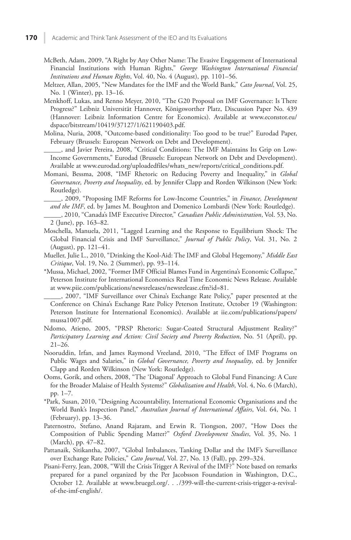- McBeth, Adam, 2009, "A Right by Any Other Name: The Evasive Engagement of International Financial Institutions with Human Rights," *George Washington International Financial Institutions and Human Rights* , Vol. 40, No. 4 (August), pp. 1101–56.
- Meltzer, Allan, 2005, "New Mandates for the IMF and the World Bank," *Cato Journal* , Vol. 25, No. 1 (Winter), pp. 13–16.
- Menkhoff, Lukas, and Renno Meyer, 2010, "The G20 Proposal on IMF Governance: Is There Progress?" Leibniz Universität Hannover, Königsworther Platz, Discussion Paper No. 439 (Hannover: Leibniz Information Centre for Economics). Available at [www.econstor.eu/](www.econstor.eu/dspace/bitstream/10419/37127/1/621190403.pdf) [dspace/bitstream/10419/37127/1/621190403.pdf.](www.econstor.eu/dspace/bitstream/10419/37127/1/621190403.pdf)
- Molina, Nuria, 2008, "Outcome-based conditionality: Too good to be true?" Eurodad Paper, February (Brussels: European Network on Debt and Development).
- \_\_\_\_\_, and Javier Pereira, 2008, "Critical Conditions: The IMF Maintains Its Grip on Low-Income Governments," Eurodad (Brussels: European Network on Debt and Development). Available at [www.eurodad.org/uploadedfiles/whats\\_new/reports/critical\\_conditions.pdf](www.eurodad.org/uploadedfiles/whats_new/reports/critical_conditions.pdf).
- Momani, Bessma, 2008, "IMF Rhetoric on Reducing Poverty and Inequality," in *Global Governance, Poverty and Inequality* , ed. by Jennifer Clapp and Rorden Wilkinson (New York: Routledge).
	- \_\_\_\_\_, 2009, "Proposing IMF Reforms for Low-Income Countries," in *Finance, Development and the IMF* , ed. by James M. Boughton and Domenico Lombardi (New York: Routledge).
	- \_\_\_\_\_, 2010, "Canada's IMF Executive Director," *Canadian Public Administration* , Vol. 53, No. 2 (June), pp. 163–82.
- Moschella, Manuela, 2011, "Lagged Learning and the Response to Equilibrium Shock: The Global Financial Crisis and IMF Surveillance," *Journal of Public Policy*, Vol. 31, No. 2 (August), pp. 121–41.
- Mueller, Julie L., 2010, "Drinking the Kool-Aid: The IMF and Global Hegemony," *Middle East Critique* , Vol. 19, No. 2 (Summer), pp. 93–114.
- \*Mussa, Michael, 2002, "Former IMF Official Blames Fund in Argentina's Economic Collapse," Peterson Institute for International Economics Real Time Economic News Release. Available at<www.piie.com/publications/newsreleases/newsrelease.cfm?id=81>.
	- \_\_\_\_\_, 2007, "IMF Surveillance over China's Exchange Rate Policy," paper presented at the Conference on China's Exchange Rate Policy Peterson Institute, October 19 (Washington: Peterson Institute for International Economics). Available at [iie.com/publications/papers/](iie.com/publications/papers/mussa1007.pdf) [mussa1007.pdf.](iie.com/publications/papers/mussa1007.pdf)
- Ndomo, Atieno, 2005, "PRSP Rhetoric: Sugar-Coated Structural Adjustment Reality?" *Participatory Learning and Action: Civil Society and Poverty Reduction* , No. 51 (April), pp. 21–26.
- Nooruddin, Irfan, and James Raymond Vreeland, 2010, "The Effect of IMF Programs on Public Wages and Salaries," in *Global Governance, Poverty and Inequality*, ed. by Jennifer Clapp and Rorden Wilkinson (New York: Routledge).
- Ooms, Gorik, and others, 2008, "The 'Diagonal' Approach to Global Fund Financing: A Cure for the Broader Malaise of Health Systems?" *Globalization and Health*, Vol. 4, No. 6 (March), pp. 1–7.
- \*Park, Susan, 2010, "Designing Accountability, International Economic Organisations and the World Bank's Inspection Panel," Australian Journal of International Affairs, Vol. 64, No. 1 (February), pp. 13–36.
- Paternostro, Stefano, Anand Rajaram, and Erwin R. Tiongson, 2007, "How Does the Composition of Public Spending Matter?" *Oxford Development Studies* , Vol. 35, No. 1 (March), pp. 47–82.
- Pattanaik, Sitikantha, 2007, "Global Imbalances, Tanking Dollar and the IMF's Surveillance over Exchange Rate Policies," *Cato Journal*, Vol. 27, No. 13 (Fall), pp. 299–324.
- Pisani-Ferry, Jean, 2008, "Will the Crisis Trigger A Revival of the IMF?" Note based on remarks prepared for a panel organized by the Per Jacobsson Foundation in Washington, D.C., October 12. Available a[t www.bruegel.org/. . . /399-will-the-current-crisis-trigger-a-revival](www.bruegel.org/.../399-will-the-current-crisis-trigger-a-revivalof-the-imf-english/)[of-the-imf-english/](www.bruegel.org/.../399-will-the-current-crisis-trigger-a-revivalof-the-imf-english/).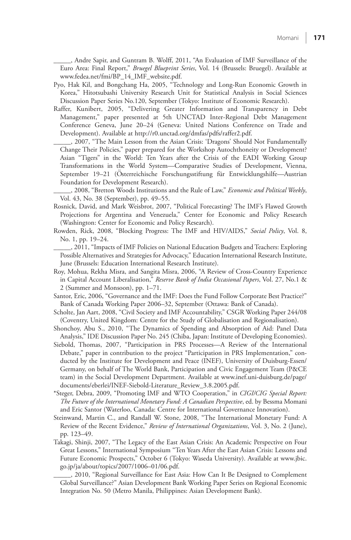\_\_\_\_\_, Andre Sapir, and Guntram B. Wolff, 2011, "An Evaluation of IMF Surveillance of the Euro Area: Final Report," *Bruegel Blueprint Series* , Vol. 14 (Brussels: Bruegel). Available at [www.fedea.net/fmi/BP\\_14\\_IMF\\_website.pdf.](www.fedea.net/fmi/BP_14_IMF_website.pdf) 

 Pyo, Hak Kil, and Bongchang Ha, 2005, "Technology and Long-Run Economic Growth in Korea," Hitotsubashi University Research Unit for Statistical Analysis in Social Sciences Discussion Paper Series No.120, September (Tokyo: Institute of Economic Research).

 Raffer, Kunibert, 2005, "Delivering Greater Information and Transparency in Debt Management," paper presented at 5th UNCTAD Inter-Regional Debt Management Conference Geneva, June 20–24 (Geneva: United Nations Conference on Trade and Development). Available a[t http://r0.unctad.org/dmfas/pdfs/raffer2.pdf.](http://r0.unctad.org/dmfas/pdfs/raffer2.pdf) 

 \_\_\_\_\_, 2007, "The Main Lesson from the Asian Crisis: 'Dragons' Should Not Fundamentally Change Their Policies," paper prepared for the Workshop Autochthoneity or Development? Asian "Tigers" in the World: Ten Years after the Crisis of the EADI Working Group Transformations in the World System—Comparative Studies of Development, Vienna, September 19–21 (Osterreichische Forschungsstiftung für Entwicklungshilfe—Austrian Foundation for Development Research).

 \_\_\_\_\_, 2008, "Bretton Woods Institutions and the Rule of Law," *Economic and Political Weekly* , Vol. 43, No. 38 (September), pp. 49–55.

- Rosnick, David, and Mark Weisbrot, 2007, "Political Forecasting? The IMF's Flawed Growth Projections for Argentina and Venezuela," Center for Economic and Policy Research (Washington: Center for Economic and Policy Research).
- Rowden, Rick, 2008, "Blocking Progress: The IMF and HIV/AIDS," Social Policy, Vol. 8, No. 1, pp. 19–24.
- \_\_\_\_\_, 2011, "Impacts of IMF Policies on National Education Budgets and Teachers: Exploring Possible Alternatives and Strategies for Advocacy," Education International Research Institute, June (Brussels: Education International Research Institute).
- Roy, Mohua, Rekha Misra, and Sangita Misra, 2006, "A Review of Cross-Country Experience in Capital Account Liberalisation," *Reserve Bank of India Occasional Papers* , Vol. 27, No.1 & 2 (Summer and Monsoon), pp. 1–71.
- Santor, Eric, 2006, "Governance and the IMF: Does the Fund Follow Corporate Best Practice?" Bank of Canada Working Paper 2006–32, September (Ottawa: Bank of Canada).
- Scholte, Jan Aart, 2008, "Civil Society and IMF Accountability," CSGR Working Paper 244/08 (Coventry, United Kingdom: Centre for the Study of Globalisation and Regionalisation).
- Shonchoy, Abu S., 2010, "The Dynamics of Spending and Absorption of Aid: Panel Data Analysis," IDE Discussion Paper No. 245 (Chiba, Japan: Institute of Developing Economies).
- Siebold, Thomas, 2007, "Participation in PRS Processes—A Review of the International Debate," paper in contribution to the project "Participation in PRS Implementation," conducted by the Institute for Development and Peace (INEF), University of Duisburg-Essen/ Germany, on behalf of The World Bank, Participation and Civic Engagement Team (P&CE team) in the Social Development Department. Available at [www.inef.uni-duisburg.de/page/](http://www.inef.uni-duisburg.de/page/documents/eberlei/INEF-Siebold-Literature_Review_3.8.2005.pdf) [documents/eberlei/INEF-Siebold-Literature\\_Review\\_3.8.2005.pdf.](http://www.inef.uni-duisburg.de/page/documents/eberlei/INEF-Siebold-Literature_Review_3.8.2005.pdf)
- \*Steger, Debra, 2009, "Promoting IMF and WTO Cooperation," in *CIGI/CIG Special Report: The Future of the International Monetary Fund: A Canadian Perspective* , ed. by Bessma Momani and Eric Santor (Waterloo, Canada: Centre for International Governance Innovation).
- Steinwand, Martin C., and Randall W. Stone, 2008, "The International Monetary Fund: A Review of the Recent Evidence," *Review of International Organizations* , Vol. 3, No. 2 (June), pp. 123–49.
- Takagi, Shinji, 2007, "The Legacy of the East Asian Crisis: An Academic Perspective on Four Great Lessons," International Symposium "Ten Years After the East Asian Crisis: Lessons and Future Economic Prospects," October 6 (Tokyo: Waseda University). Available at [www.jbic.](www.jbic.go.jp/ja/about/topics/2007/1006%E2%80%9301/06.pdf) [go.jp/ja/about/topics/2007/1006–01/06.pdf.](www.jbic.go.jp/ja/about/topics/2007/1006%E2%80%9301/06.pdf)

\_\_\_\_\_, 2010, "Regional Surveillance for East Asia: How Can It Be Designed to Complement Global Surveillance?" Asian Development Bank Working Paper Series on Regional Economic Integration No. 50 (Metro Manila, Philippines: Asian Development Bank).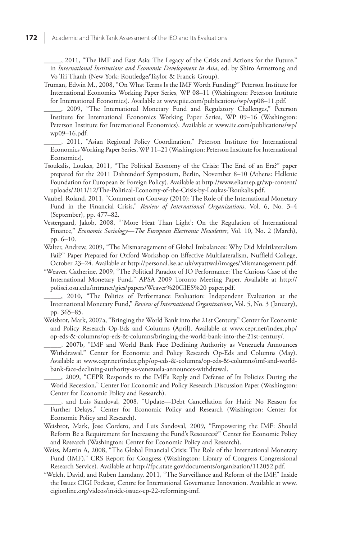\_\_\_\_\_, 2011, "The IMF and East Asia: The Legacy of the Crisis and Actions for the Future," in *International Institutions and Economic Development in Asia* , ed. by Shiro Armstrong and Vo Tri Thanh (New York: Routledge/Taylor & Francis Group).

 Truman, Edwin M., 2008, "On What Terms Is the IMF Worth Funding?" Peterson Institute for International Economics Working Paper Series, WP 08–11 (Washington: Peterson Institute for International Economics). Available at [www.piie.com/publications/wp/wp08–11.pdf.](www.piie.com/publications/wp/wp08%E2%80%9311.pdf) 

 \_\_\_\_\_, 2009, "The International Monetary Fund and Regulatory Challenges," Peterson Institute for International Economics Working Paper Series, WP 09–16 (Washington: Peterson Institute for International Economics). Available at [www.iie.com/publications/wp/](www.iie.com/publications/wp/wp09%E2%80%9316.pdf) [wp09–16.pdf.](www.iie.com/publications/wp/wp09%E2%80%9316.pdf) 

 \_\_\_\_\_, 2011, "Asian Regional Policy Coordination," Peterson Institute for International Economics Working Paper Series, WP 11–21 (Washington: Peterson Institute for International Economics).

- Tsoukalis, Loukas, 2011, "The Political Economy of the Crisis: The End of an Era?" paper prepared for the 2011 Dahrendorf Symposium, Berlin, November 8–10 (Athens: Hellenic Foundation for European & Foreign Policy). Available at [http://www.eliamep.gr/wp-content/](http://www.eliamep.gr/wp-content/uploads/2011/12/The-Political-Economy-of-the-Crisis-by-Loukas-Tsoukalis.pdf) [uploads/2011/12/The-Political-Economy-of-the-Crisis-by-Loukas-Tsoukalis.pdf.](http://www.eliamep.gr/wp-content/uploads/2011/12/The-Political-Economy-of-the-Crisis-by-Loukas-Tsoukalis.pdf)
- Vaubel, Roland, 2011, "Comment on Conway (2010): The Role of the International Monetary Fund in the Financial Crisis," *Review of International Organizations* , Vol. 6, No. 3–4 (September), pp. 477–82.
- Vestergaard, Jakob, 2008, " 'More Heat Than Light': On the Regulation of International Finance," *Economic Sociology—The European Electronic Newsletter*, Vol. 10, No. 2 (March), pp. 6–10.
- Walter, Andrew, 2009, "The Mismanagement of Global Imbalances: Why Did Multilateralism Fail?" Paper Prepared for Oxford Workshop on Effective Multilateralism, Nuffield College, October 23–24. Available at [http://personal.lse.ac.uk/wyattwal/images/Mismanagement.pdf.](http://personal.lse.ac.uk/wyattwal/images/Mismanagement.pdf)
- \*Weaver, Catherine, 2009, "The Political Paradox of IO Performance: The Curious Case of the International Monetary Fund," APSA 2009 Toronto Meeting Paper. Available at [http://](http://polisci.osu.edu/intranet/gies/papers/Weaver%20GIES%20 paper.pdf) [polisci.osu.edu/intranet/gies/papers/Weaver%20GIES%20 paper.pdf.](http://polisci.osu.edu/intranet/gies/papers/Weaver%20GIES%20 paper.pdf)

 \_\_\_\_\_, 2010, "The Politics of Performance Evaluation: Independent Evaluation at the International Monetary Fund," *Review of International Organizations* , Vol. 5, No. 3 (January), pp. 365–85.

 Weisbrot, Mark, 2007a, "Bringing the World Bank into the 21st Century." Center for Economic and Policy Research Op-Eds and Columns (April). Available at [www.cepr.net/index.php/](www.cepr.net/index.php/op-eds-&-columns/op-eds-&-columns/bringing-the-world-bank-into-the-21st-century/) [op-eds-&-columns/op-eds-&-columns/bringing-the-world-bank-into-the-21st-century/](www.cepr.net/index.php/op-eds-&-columns/op-eds-&-columns/bringing-the-world-bank-into-the-21st-century/).

 \_\_\_\_\_, 2007b, "IMF and World Bank Face Declining Authority as Venezuela Announces Withdrawal." Center for Economic and Policy Research Op-Eds and Columns (May). Available a[t www.cepr.net/index.php/op-eds-&-columns/op-eds-&-columns/imf-and-world](www.cepr.net/index.php/op-eds-&-columns/op-eds-&-columns/imf-and-world-bank-face-declining-authority-as-venezuela-announces-withdrawal)[bank-face-declining-authority-as-venezuela-announces-withdrawal.](www.cepr.net/index.php/op-eds-&-columns/op-eds-&-columns/imf-and-world-bank-face-declining-authority-as-venezuela-announces-withdrawal) 

 \_\_\_\_\_, 2009, "CEPR Responds to the IMF's Reply and Defense of Its Policies During the World Recession," Center For Economic and Policy Research Discussion Paper (Washington: Center for Economic Policy and Research).

 \_\_\_\_\_, and Luis Sandoval, 2008, "Update—Debt Cancellation for Haiti: No Reason for Further Delays," Center for Economic Policy and Research (Washington: Center for Economic Policy and Research).

- Weisbrot, Mark, Jose Cordero, and Luis Sandoval, 2009, "Empowering the IMF: Should Reform Be a Requirement for Increasing the Fund's Resources?" Center for Economic Policy and Research (Washington: Center for Economic Policy and Research).
- Weiss, Martin A, 2008, "The Global Financial Crisis: The Role of the International Monetary Fund (IMF)," CRS Report for Congress (Washington: Library of Congress Congressional Research Service). Available at [http://fpc.state.gov/documents/organization/112052.pdf.](http://fpc.state.gov/documents/organization/112052.pdf)
- \*Welch, David, and Ruben Lamdany, 2011, "The Surveillance and Reform of the IMF," Inside the Issues CIGI Podcast, Centre for International Governance Innovation. Available at [www.](www.cigionline.org/videos/inside-issues-ep-22-reforming-imf) [cigionline.org/videos/inside-issues-ep-22-reforming-imf.](www.cigionline.org/videos/inside-issues-ep-22-reforming-imf)